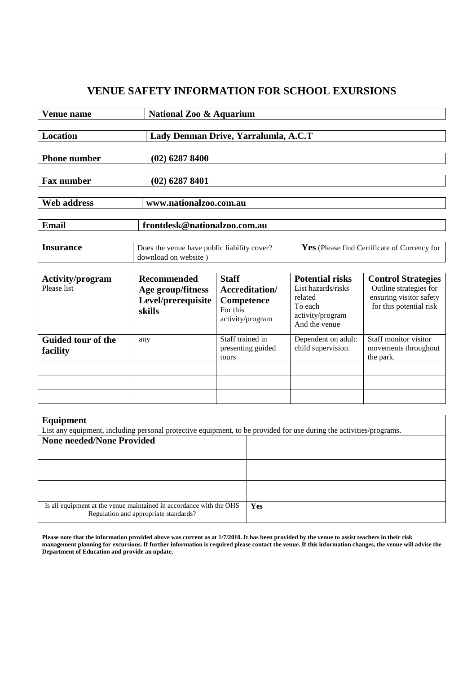## **VENUE SAFETY INFORMATION FOR SCHOOL EXURSIONS**

| Venue name                             |                                                                         | <b>National Zoo &amp; Aquarium</b>                                                          |                                                                                                         |                                                                                                           |  |  |
|----------------------------------------|-------------------------------------------------------------------------|---------------------------------------------------------------------------------------------|---------------------------------------------------------------------------------------------------------|-----------------------------------------------------------------------------------------------------------|--|--|
| Location                               |                                                                         | Lady Denman Drive, Yarralumla, A.C.T                                                        |                                                                                                         |                                                                                                           |  |  |
| <b>Phone number</b>                    | $(02)$ 6287 8400                                                        |                                                                                             |                                                                                                         |                                                                                                           |  |  |
| <b>Fax number</b>                      | $(02)$ 6287 8401                                                        |                                                                                             |                                                                                                         |                                                                                                           |  |  |
| <b>Web address</b>                     | www.nationalzoo.com.au                                                  |                                                                                             |                                                                                                         |                                                                                                           |  |  |
| Email                                  | frontdesk@nationalzoo.com.au                                            |                                                                                             |                                                                                                         |                                                                                                           |  |  |
| <b>Insurance</b>                       | download on website)                                                    | Yes (Please find Certificate of Currency for<br>Does the venue have public liability cover? |                                                                                                         |                                                                                                           |  |  |
| <b>Activity/program</b><br>Please list | <b>Recommended</b><br>Age group/fitness<br>Level/prerequisite<br>skills | <b>Staff</b><br>Accreditation/<br><b>Competence</b><br>For this<br>activity/program         | <b>Potential risks</b><br>List hazards/risks<br>related<br>To each<br>activity/program<br>And the venue | <b>Control Strategies</b><br>Outline strategies for<br>ensuring visitor safety<br>for this potential risk |  |  |
| Guided tour of the<br>facility         | any                                                                     | Staff trained in<br>presenting guided<br>tours                                              | Dependent on adult:<br>child supervision.                                                               | Staff monitor visitor<br>movements throughout<br>the park.                                                |  |  |

| Equipment                                                                                                           |     |  |  |  |
|---------------------------------------------------------------------------------------------------------------------|-----|--|--|--|
| List any equipment, including personal protective equipment, to be provided for use during the activities/programs. |     |  |  |  |
| <b>None needed/None Provided</b>                                                                                    |     |  |  |  |
|                                                                                                                     |     |  |  |  |
|                                                                                                                     |     |  |  |  |
|                                                                                                                     |     |  |  |  |
|                                                                                                                     |     |  |  |  |
|                                                                                                                     |     |  |  |  |
| Is all equipment at the venue maintained in accordance with the OHS<br>Regulation and appropriate standards?        | Yes |  |  |  |

**Please note that the information provided above was current as at 1/7/2010. It has been provided by the venue to assist teachers in their risk management planning for excursions. If further information is required please contact the venue. If this information changes, the venue will advise the Department of Education and provide an update.**